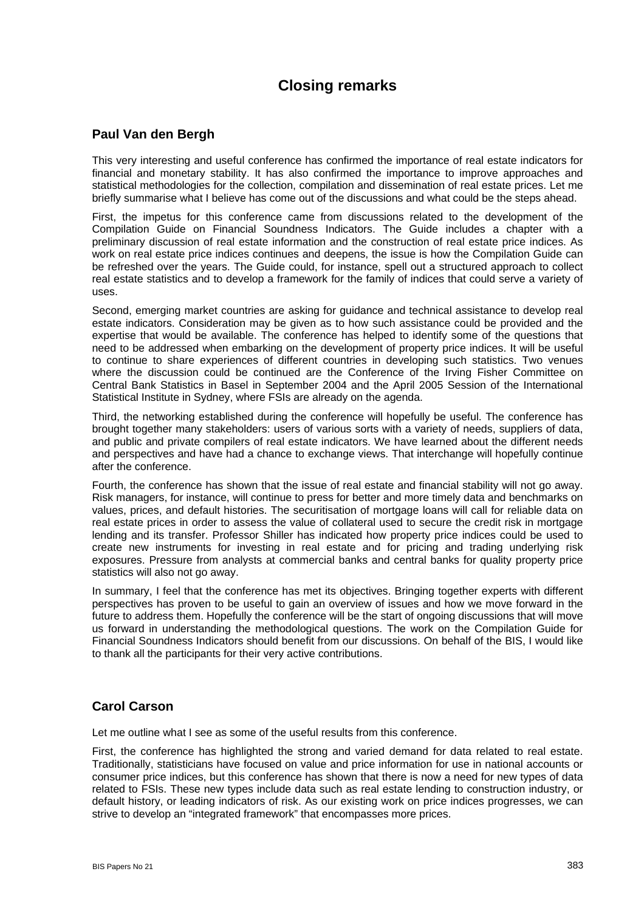## **Closing remarks**

## **Paul Van den Bergh**

This very interesting and useful conference has confirmed the importance of real estate indicators for financial and monetary stability. It has also confirmed the importance to improve approaches and statistical methodologies for the collection, compilation and dissemination of real estate prices. Let me briefly summarise what I believe has come out of the discussions and what could be the steps ahead.

First, the impetus for this conference came from discussions related to the development of the Compilation Guide on Financial Soundness Indicators. The Guide includes a chapter with a preliminary discussion of real estate information and the construction of real estate price indices. As work on real estate price indices continues and deepens, the issue is how the Compilation Guide can be refreshed over the years. The Guide could, for instance, spell out a structured approach to collect real estate statistics and to develop a framework for the family of indices that could serve a variety of uses.

Second, emerging market countries are asking for guidance and technical assistance to develop real estate indicators. Consideration may be given as to how such assistance could be provided and the expertise that would be available. The conference has helped to identify some of the questions that need to be addressed when embarking on the development of property price indices. It will be useful to continue to share experiences of different countries in developing such statistics. Two venues where the discussion could be continued are the Conference of the Irving Fisher Committee on Central Bank Statistics in Basel in September 2004 and the April 2005 Session of the International Statistical Institute in Sydney, where FSIs are already on the agenda.

Third, the networking established during the conference will hopefully be useful. The conference has brought together many stakeholders: users of various sorts with a variety of needs, suppliers of data, and public and private compilers of real estate indicators. We have learned about the different needs and perspectives and have had a chance to exchange views. That interchange will hopefully continue after the conference.

Fourth, the conference has shown that the issue of real estate and financial stability will not go away. Risk managers, for instance, will continue to press for better and more timely data and benchmarks on values, prices, and default histories. The securitisation of mortgage loans will call for reliable data on real estate prices in order to assess the value of collateral used to secure the credit risk in mortgage lending and its transfer. Professor Shiller has indicated how property price indices could be used to create new instruments for investing in real estate and for pricing and trading underlying risk exposures. Pressure from analysts at commercial banks and central banks for quality property price statistics will also not go away.

In summary, I feel that the conference has met its objectives. Bringing together experts with different perspectives has proven to be useful to gain an overview of issues and how we move forward in the future to address them. Hopefully the conference will be the start of ongoing discussions that will move us forward in understanding the methodological questions. The work on the Compilation Guide for Financial Soundness Indicators should benefit from our discussions. On behalf of the BIS, I would like to thank all the participants for their very active contributions.

## **Carol Carson**

Let me outline what I see as some of the useful results from this conference.

First, the conference has highlighted the strong and varied demand for data related to real estate. Traditionally, statisticians have focused on value and price information for use in national accounts or consumer price indices, but this conference has shown that there is now a need for new types of data related to FSIs. These new types include data such as real estate lending to construction industry, or default history, or leading indicators of risk. As our existing work on price indices progresses, we can strive to develop an "integrated framework" that encompasses more prices.